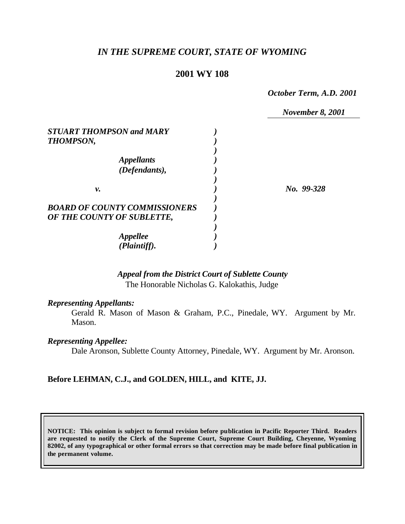# *IN THE SUPREME COURT, STATE OF WYOMING*

### **2001 WY 108**

*October Term, A.D. 2001*

|                                      | <b>November 8, 2001</b> |
|--------------------------------------|-------------------------|
| <b>STUART THOMPSON and MARY</b>      |                         |
| <b>THOMPSON,</b>                     |                         |
|                                      |                         |
| <i><b>Appellants</b></i>             |                         |
| (Defendants),                        |                         |
|                                      |                         |
| ν.                                   | No. 99-328              |
|                                      |                         |
| <b>BOARD OF COUNTY COMMISSIONERS</b> |                         |
| OF THE COUNTY OF SUBLETTE,           |                         |
|                                      |                         |
| <b>Appellee</b>                      |                         |
| (Plaintiff).                         |                         |

## *Appeal from the District Court of Sublette County* The Honorable Nicholas G. Kalokathis, Judge

#### *Representing Appellants:*

Gerald R. Mason of Mason & Graham, P.C., Pinedale, WY. Argument by Mr. Mason.

#### *Representing Appellee:*

Dale Aronson, Sublette County Attorney, Pinedale, WY. Argument by Mr. Aronson.

#### **Before LEHMAN, C.J., and GOLDEN, HILL, and KITE, JJ.**

**NOTICE: This opinion is subject to formal revision before publication in Pacific Reporter Third. Readers are requested to notify the Clerk of the Supreme Court, Supreme Court Building, Cheyenne, Wyoming 82002, of any typographical or other formal errors so that correction may be made before final publication in the permanent volume.**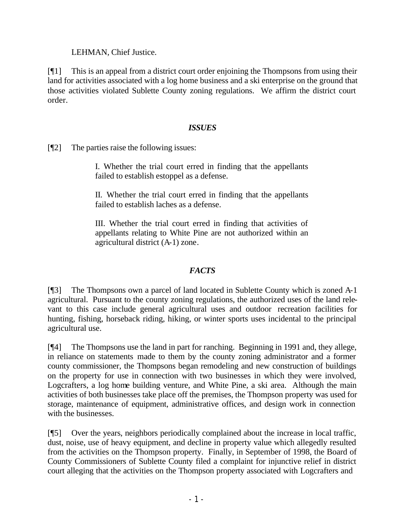LEHMAN, Chief Justice.

[¶1] This is an appeal from a district court order enjoining the Thompsons from using their land for activities associated with a log home business and a ski enterprise on the ground that those activities violated Sublette County zoning regulations. We affirm the district court order.

### *ISSUES*

[¶2] The parties raise the following issues:

I. Whether the trial court erred in finding that the appellants failed to establish estoppel as a defense.

II. Whether the trial court erred in finding that the appellants failed to establish laches as a defense.

III. Whether the trial court erred in finding that activities of appellants relating to White Pine are not authorized within an agricultural district (A-1) zone.

### *FACTS*

[¶3] The Thompsons own a parcel of land located in Sublette County which is zoned A-1 agricultural. Pursuant to the county zoning regulations, the authorized uses of the land relevant to this case include general agricultural uses and outdoor recreation facilities for hunting, fishing, horseback riding, hiking, or winter sports uses incidental to the principal agricultural use.

[¶4] The Thompsons use the land in part for ranching. Beginning in 1991 and, they allege, in reliance on statements made to them by the county zoning administrator and a former county commissioner, the Thompsons began remodeling and new construction of buildings on the property for use in connection with two businesses in which they were involved, Logcrafters, a log home building venture, and White Pine, a ski area. Although the main activities of both businesses take place off the premises, the Thompson property was used for storage, maintenance of equipment, administrative offices, and design work in connection with the businesses.

[¶5] Over the years, neighbors periodically complained about the increase in local traffic, dust, noise, use of heavy equipment, and decline in property value which allegedly resulted from the activities on the Thompson property. Finally, in September of 1998, the Board of County Commissioners of Sublette County filed a complaint for injunctive relief in district court alleging that the activities on the Thompson property associated with Logcrafters and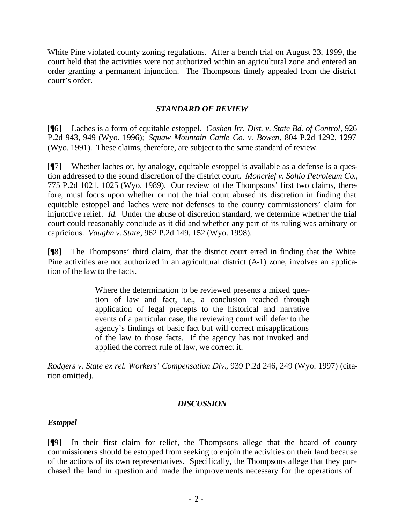White Pine violated county zoning regulations. After a bench trial on August 23, 1999, the court held that the activities were not authorized within an agricultural zone and entered an order granting a permanent injunction. The Thompsons timely appealed from the district court's order.

### *STANDARD OF REVIEW*

[¶6] Laches is a form of equitable estoppel. *Goshen Irr. Dist. v. State Bd. of Control*, 926 P.2d 943, 949 (Wyo. 1996); *Squaw Mountain Cattle Co. v. Bowen*, 804 P.2d 1292, 1297 (Wyo. 1991). These claims, therefore, are subject to the same standard of review.

[¶7] Whether laches or, by analogy, equitable estoppel is available as a defense is a question addressed to the sound discretion of the district court. *Moncrief v. Sohio Petroleum Co.*, 775 P.2d 1021, 1025 (Wyo. 1989). Our review of the Thompsons' first two claims, therefore, must focus upon whether or not the trial court abused its discretion in finding that equitable estoppel and laches were not defenses to the county commissioners' claim for injunctive relief. *Id.* Under the abuse of discretion standard, we determine whether the trial court could reasonably conclude as it did and whether any part of its ruling was arbitrary or capricious. *Vaughn v. State*, 962 P.2d 149, 152 (Wyo. 1998).

[¶8] The Thompsons' third claim, that the district court erred in finding that the White Pine activities are not authorized in an agricultural district (A-1) zone, involves an application of the law to the facts.

> Where the determination to be reviewed presents a mixed question of law and fact, i.e., a conclusion reached through application of legal precepts to the historical and narrative events of a particular case, the reviewing court will defer to the agency's findings of basic fact but will correct misapplications of the law to those facts. If the agency has not invoked and applied the correct rule of law, we correct it.

*Rodgers v. State ex rel. Workers' Compensation Div.*, 939 P.2d 246, 249 (Wyo. 1997) (citation omitted).

#### *DISCUSSION*

#### *Estoppel*

[¶9] In their first claim for relief, the Thompsons allege that the board of county commissioners should be estopped from seeking to enjoin the activities on their land because of the actions of its own representatives. Specifically, the Thompsons allege that they purchased the land in question and made the improvements necessary for the operations of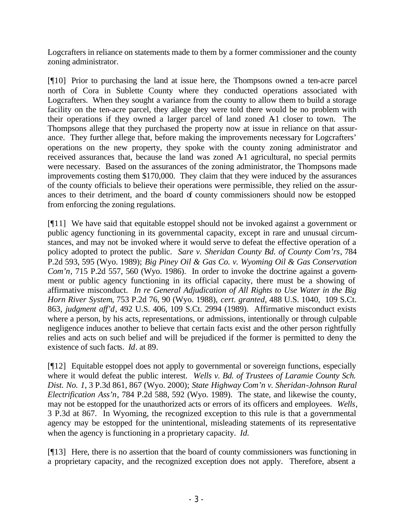Logcrafters in reliance on statements made to them by a former commissioner and the county zoning administrator.

[¶10] Prior to purchasing the land at issue here, the Thompsons owned a ten-acre parcel north of Cora in Sublette County where they conducted operations associated with Logcrafters. When they sought a variance from the county to allow them to build a storage facility on the ten-acre parcel, they allege they were told there would be no problem with their operations if they owned a larger parcel of land zoned A1 closer to town. The Thompsons allege that they purchased the property now at issue in reliance on that assurance. They further allege that, before making the improvements necessary for Logcrafters' operations on the new property, they spoke with the county zoning administrator and received assurances that, because the land was zoned A1 agricultural, no special permits were necessary. Based on the assurances of the zoning administrator, the Thompsons made improvements costing them \$170,000. They claim that they were induced by the assurances of the county officials to believe their operations were permissible, they relied on the assurances to their detriment, and the board of county commissioners should now be estopped from enforcing the zoning regulations.

[¶11] We have said that equitable estoppel should not be invoked against a government or public agency functioning in its governmental capacity, except in rare and unusual circumstances, and may not be invoked where it would serve to defeat the effective operation of a policy adopted to protect the public. *Sare v. Sheridan County Bd. of County Com'rs*, 784 P.2d 593, 595 (Wyo. 1989); *Big Piney Oil & Gas Co. v. Wyoming Oil & Gas Conservation Com'n*, 715 P.2d 557, 560 (Wyo. 1986). In order to invoke the doctrine against a government or public agency functioning in its official capacity, there must be a showing of affirmative misconduct. *In re General Adjudication of All Rights to Use Water in the Big Horn River System*, 753 P.2d 76, 90 (Wyo. 1988), *cert. granted*, 488 U.S. 1040, 109 S.Ct. 863, *judgment aff'd*, 492 U.S. 406, 109 S.Ct. 2994 (1989). Affirmative misconduct exists where a person, by his acts, representations, or admissions, intentionally or through culpable negligence induces another to believe that certain facts exist and the other person rightfully relies and acts on such belief and will be prejudiced if the former is permitted to deny the existence of such facts. *Id*. at 89.

[¶12] Equitable estoppel does not apply to governmental or sovereign functions, especially where it would defeat the public interest. *Wells v. Bd. of Trustees of Laramie County Sch. Dist. No. 1*, 3 P.3d 861, 867 (Wyo. 2000); *State Highway Com'n v. Sheridan-Johnson Rural Electrification Ass'n*, 784 P.2d 588, 592 (Wyo. 1989). The state, and likewise the county, may not be estopped for the unauthorized acts or errors of its officers and employees. *Wells*, 3 P.3d at 867. In Wyoming, the recognized exception to this rule is that a governmental agency may be estopped for the unintentional, misleading statements of its representative when the agency is functioning in a proprietary capacity. *Id.*

[¶13] Here, there is no assertion that the board of county commissioners was functioning in a proprietary capacity, and the recognized exception does not apply. Therefore, absent a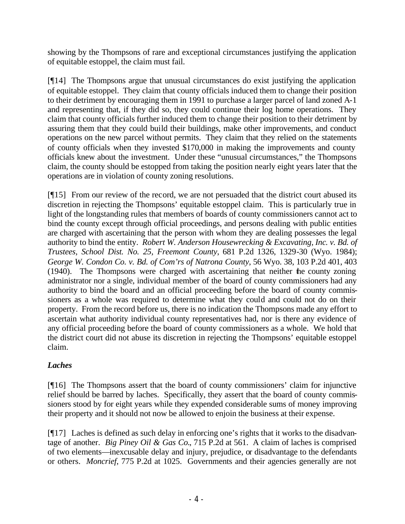showing by the Thompsons of rare and exceptional circumstances justifying the application of equitable estoppel, the claim must fail.

[¶14] The Thompsons argue that unusual circumstances do exist justifying the application of equitable estoppel. They claim that county officials induced them to change their position to their detriment by encouraging them in 1991 to purchase a larger parcel of land zoned A-1 and representing that, if they did so, they could continue their log home operations. They claim that county officials further induced them to change their position to their detriment by assuring them that they could build their buildings, make other improvements, and conduct operations on the new parcel without permits. They claim that they relied on the statements of county officials when they invested \$170,000 in making the improvements and county officials knew about the investment. Under these "unusual circumstances," the Thompsons claim, the county should be estopped from taking the position nearly eight years later that the operations are in violation of county zoning resolutions.

[¶15] From our review of the record, we are not persuaded that the district court abused its discretion in rejecting the Thompsons' equitable estoppel claim. This is particularly true in light of the longstanding rules that members of boards of county commissioners cannot act to bind the county except through official proceedings, and persons dealing with public entities are charged with ascertaining that the person with whom they are dealing possesses the legal authority to bind the entity. *Robert W. Anderson Housewrecking & Excavating, Inc. v. Bd. of Trustees, School Dist. No. 25, Freemont County*, 681 P.2d 1326, 1329-30 (Wyo. 1984); *George W. Condon Co. v. Bd. of Com'rs of Natrona County*, 56 Wyo. 38, 103 P.2d 401, 403 (1940). The Thompsons were charged with ascertaining that neither the county zoning administrator nor a single, individual member of the board of county commissioners had any authority to bind the board and an official proceeding before the board of county commissioners as a whole was required to determine what they could and could not do on their property. From the record before us, there is no indication the Thompsons made any effort to ascertain what authority individual county representatives had, nor is there any evidence of any official proceeding before the board of county commissioners as a whole. We hold that the district court did not abuse its discretion in rejecting the Thompsons' equitable estoppel claim.

# *Laches*

[¶16] The Thompsons assert that the board of county commissioners' claim for injunctive relief should be barred by laches. Specifically, they assert that the board of county commissioners stood by for eight years while they expended considerable sums of money improving their property and it should not now be allowed to enjoin the business at their expense.

[¶17] Laches is defined as such delay in enforcing one's rights that it works to the disadvantage of another. *Big Piney Oil & Gas Co.*, 715 P.2d at 561. A claim of laches is comprised of two elements—inexcusable delay and injury, prejudice, or disadvantage to the defendants or others. *Moncrief*, 775 P.2d at 1025. Governments and their agencies generally are not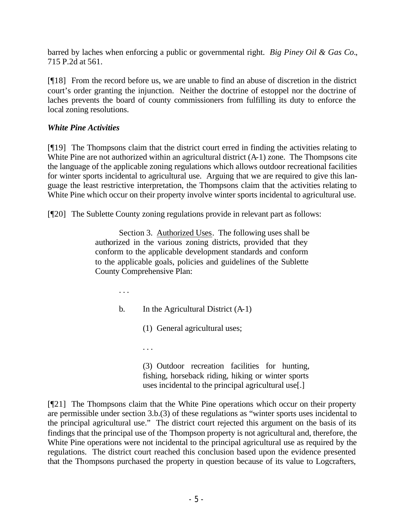barred by laches when enforcing a public or governmental right. *Big Piney Oil & Gas Co.*, 715 P.2d at 561.

[¶18] From the record before us, we are unable to find an abuse of discretion in the district court's order granting the injunction. Neither the doctrine of estoppel nor the doctrine of laches prevents the board of county commissioners from fulfilling its duty to enforce the local zoning resolutions.

## *White Pine Activities*

[¶19] The Thompsons claim that the district court erred in finding the activities relating to White Pine are not authorized within an agricultural district  $(A-1)$  zone. The Thompsons cite the language of the applicable zoning regulations which allows outdoor recreational facilities for winter sports incidental to agricultural use. Arguing that we are required to give this language the least restrictive interpretation, the Thompsons claim that the activities relating to White Pine which occur on their property involve winter sports incidental to agricultural use.

[¶20] The Sublette County zoning regulations provide in relevant part as follows:

Section 3. Authorized Uses. The following uses shall be authorized in the various zoning districts, provided that they conform to the applicable development standards and conform to the applicable goals, policies and guidelines of the Sublette County Comprehensive Plan:

. . .

b. In the Agricultural District  $(A-1)$ 

(1) General agricultural uses;

. . .

(3) Outdoor recreation facilities for hunting, fishing, horseback riding, hiking or winter sports uses incidental to the principal agricultural use[.]

[¶21] The Thompsons claim that the White Pine operations which occur on their property are permissible under section 3.b.(3) of these regulations as "winter sports uses incidental to the principal agricultural use." The district court rejected this argument on the basis of its findings that the principal use of the Thompson property is not agricultural and, therefore, the White Pine operations were not incidental to the principal agricultural use as required by the regulations. The district court reached this conclusion based upon the evidence presented that the Thompsons purchased the property in question because of its value to Logcrafters,